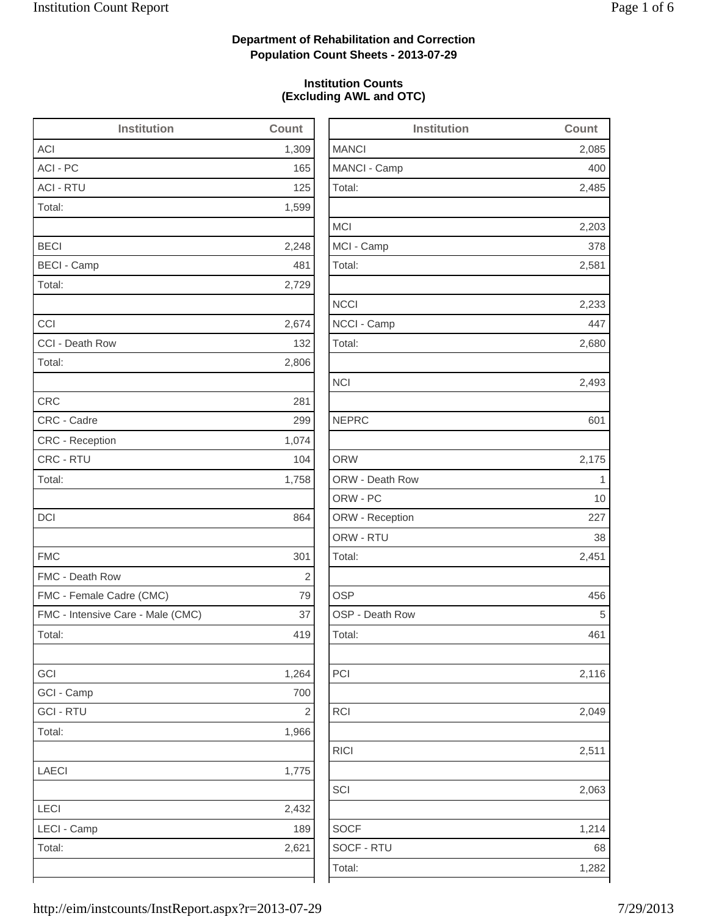2,485

2,203

2,116

2,063

## **Department of Rehabilitation and Correction Population Count Sheets - 2013-07-29**

### **Institution Counts (Excluding AWL and OTC)**

| Institution                       | Count      | Institution     | Count |
|-----------------------------------|------------|-----------------|-------|
| ACI                               | 1,309      | <b>MANCI</b>    | 2,085 |
| ACI - PC                          | 165        | MANCI - Camp    | 400   |
| <b>ACI - RTU</b>                  | 125        | Total:          | 2,485 |
| Total:                            | 1,599      |                 |       |
|                                   |            | <b>MCI</b>      | 2,203 |
| <b>BECI</b>                       | 2,248      | MCI - Camp      | 378   |
| <b>BECI - Camp</b>                | 481        | Total:          | 2,581 |
| Total:                            | 2,729      |                 |       |
|                                   |            | <b>NCCI</b>     | 2,233 |
| CCI                               | 2,674      | NCCI - Camp     | 447   |
| CCI - Death Row                   | 132        | Total:          | 2,680 |
| Total:                            | 2,806      |                 |       |
|                                   |            | <b>NCI</b>      | 2,493 |
| <b>CRC</b>                        | 281        |                 |       |
| CRC - Cadre                       | 299        | <b>NEPRC</b>    | 601   |
| CRC - Reception                   | 1,074      |                 |       |
| CRC - RTU                         | 104        | <b>ORW</b>      | 2,175 |
| Total:                            | 1,758      | ORW - Death Row | 1     |
|                                   |            | ORW - PC        | 10    |
| DCI                               | 864        | ORW - Reception | 227   |
|                                   |            | ORW - RTU       | 38    |
| <b>FMC</b>                        | 301        | Total:          | 2,451 |
| FMC - Death Row                   | $\sqrt{2}$ |                 |       |
| FMC - Female Cadre (CMC)          | 79         | <b>OSP</b>      | 456   |
| FMC - Intensive Care - Male (CMC) | 37         | OSP - Death Row | 5     |
| Total:                            | 419        | Total:          | 461   |
| GCI                               | 1,264      | PCI             | 2,116 |
| GCI - Camp                        | 700        |                 |       |
| <b>GCI - RTU</b>                  | $\sqrt{2}$ | RCI             | 2,049 |
| Total:                            | 1,966      |                 |       |
|                                   |            | <b>RICI</b>     | 2,511 |
| <b>LAECI</b>                      | 1,775      |                 |       |
|                                   |            | SCI             | 2,063 |
| LECI                              | 2,432      |                 |       |
| LECI - Camp                       | 189        | <b>SOCF</b>     | 1,214 |
| Total:                            | 2,621      | SOCF - RTU      | 68    |
|                                   |            | Total:          | 1,282 |
|                                   |            |                 |       |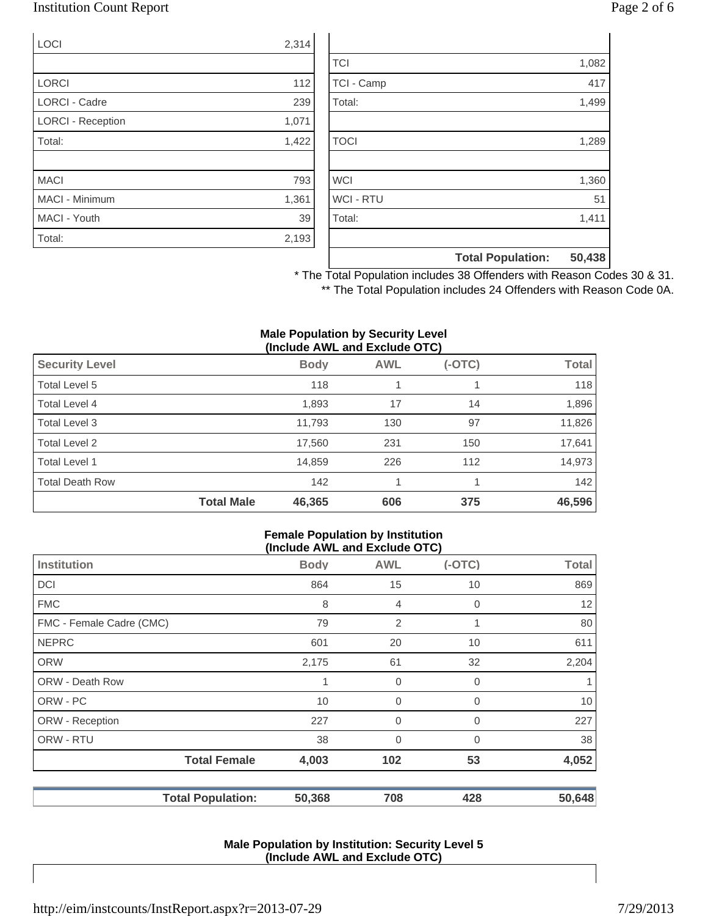## Institution Count Report Page 2 of 6

| <b>LOCI</b>              | 2,314 |
|--------------------------|-------|
|                          |       |
| <b>LORCI</b>             | 112   |
| <b>LORCI - Cadre</b>     | 239   |
| <b>LORCI - Reception</b> | 1,071 |
| Total:                   | 1,422 |
|                          |       |
| <b>MACI</b>              | 793   |
| <b>MACI - Minimum</b>    | 1,361 |
| MACI - Youth             | 39    |
| Total:                   | 2,193 |

|                  | <b>Total Population:</b> | 50,438 |
|------------------|--------------------------|--------|
| Total:           |                          | 1,411  |
| <b>WCI - RTU</b> |                          | 51     |
| <b>WCI</b>       |                          | 1,360  |
|                  |                          |        |
| <b>TOCI</b>      |                          | 1,289  |
|                  |                          |        |
| Total:           |                          | 1,499  |
| TCI - Camp       |                          | 417    |
| <b>TCI</b>       |                          | 1,082  |

\* The Total Population includes 38 Offenders with Reason Codes 30 & 31. \*\* The Total Population includes 24 Offenders with Reason Code 0A.

#### **Male Population by Security Level (Include AWL and Exclude OTC)**

| <b>Security Level</b>  |                   | <b>Body</b> | <b>AWL</b> | $(-OTC)$ | <b>Total</b> |
|------------------------|-------------------|-------------|------------|----------|--------------|
| Total Level 5          |                   | 118         |            |          | 118          |
| Total Level 4          |                   | 1,893       | 17         | 14       | 1,896        |
| Total Level 3          |                   | 11,793      | 130        | 97       | 11,826       |
| Total Level 2          |                   | 17,560      | 231        | 150      | 17,641       |
| Total Level 1          |                   | 14,859      | 226        | 112      | 14,973       |
| <b>Total Death Row</b> |                   | 142         |            |          | 142          |
|                        | <b>Total Male</b> | 46,365      | 606        | 375      | 46,596       |

#### **Female Population by Institution (Include AWL and Exclude OTC)**

| $\mu$ , $\mu$ , $\mu$ , $\mu$ , $\mu$ , $\mu$ , $\mu$ , $\mu$ , $\mu$ , $\mu$ , $\mu$ , $\mu$ |             |                |          |              |
|-----------------------------------------------------------------------------------------------|-------------|----------------|----------|--------------|
| <b>Institution</b>                                                                            | <b>Body</b> | <b>AWL</b>     | $(-OTC)$ | <b>Total</b> |
| <b>DCI</b>                                                                                    | 864         | 15             | 10       | 869          |
| <b>FMC</b>                                                                                    | 8           | $\overline{4}$ | 0        | 12           |
| FMC - Female Cadre (CMC)                                                                      | 79          | 2              |          | 80           |
| <b>NEPRC</b>                                                                                  | 601         | 20             | 10       | 611          |
| <b>ORW</b>                                                                                    | 2,175       | 61             | 32       | 2,204        |
| <b>ORW - Death Row</b>                                                                        | 1           | $\overline{0}$ | 0        |              |
| ORW - PC                                                                                      | 10          | $\mathbf 0$    | 0        | 10           |
| ORW - Reception                                                                               | 227         | $\overline{0}$ | 0        | 227          |
| ORW - RTU                                                                                     | 38          | $\overline{0}$ | 0        | 38           |
| <b>Total Female</b>                                                                           | 4,003       | 102            | 53       | 4,052        |
| <b>Total Population:</b>                                                                      | 50,368      | 708            | 428      | 50,648       |

#### **Male Population by Institution: Security Level 5 (Include AWL and Exclude OTC)**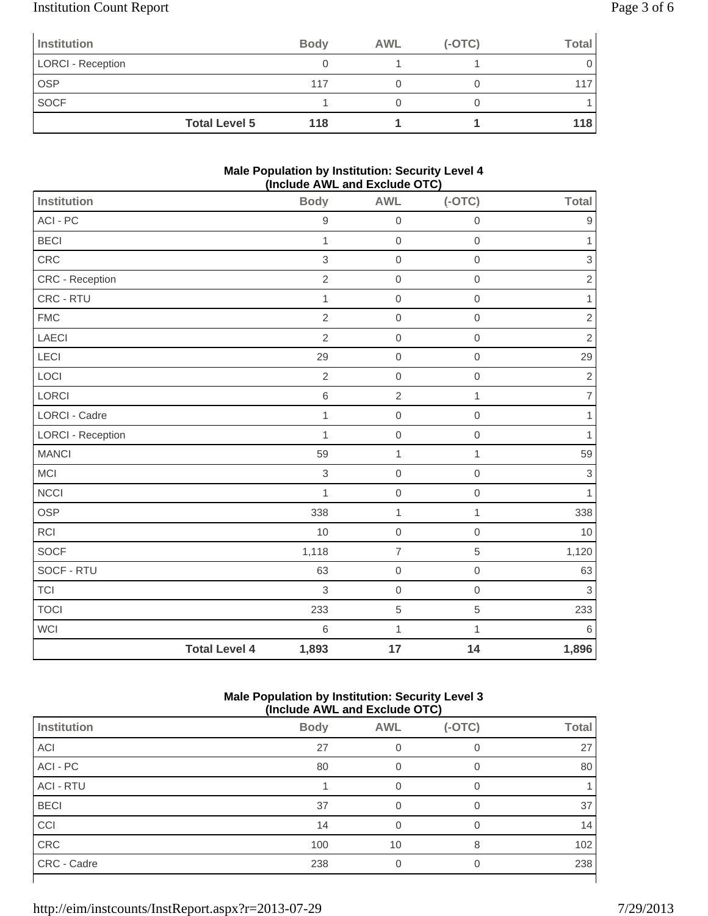# Institution Count Report Page 3 of 6

| Institution              |                      | <b>Body</b> | <b>AWL</b> | $(-OTC)$ | Total |
|--------------------------|----------------------|-------------|------------|----------|-------|
| <b>LORCI - Reception</b> |                      |             |            |          |       |
| <b>OSP</b>               |                      | 117         |            |          |       |
| <b>SOCF</b>              |                      |             |            |          |       |
|                          | <b>Total Level 5</b> | 118         |            |          | 118   |

### **Male Population by Institution: Security Level 4 (Include AWL and Exclude OTC)**

| <b>Institution</b> |                      | <b>Body</b>    | <b>AWL</b>       | $(-OTC)$     | Total          |
|--------------------|----------------------|----------------|------------------|--------------|----------------|
| ACI - PC           |                      | $\hbox{9}$     | $\boldsymbol{0}$ | $\mathbf 0$  | 9              |
| <b>BECI</b>        |                      | $\mathbf{1}$   | $\boldsymbol{0}$ | $\mathbf 0$  | 1              |
| CRC                |                      | $\,$ 3 $\,$    | $\mathbf 0$      | $\mathbf 0$  | 3              |
| CRC - Reception    |                      | $\overline{2}$ | $\mathbf 0$      | $\mathbf 0$  | $\sqrt{2}$     |
| CRC - RTU          |                      | $\mathbf{1}$   | $\mathbf 0$      | $\mathbf 0$  | 1              |
| <b>FMC</b>         |                      | $\overline{2}$ | $\mathbf 0$      | $\mathbf 0$  | $\overline{2}$ |
| <b>LAECI</b>       |                      | $\overline{2}$ | $\boldsymbol{0}$ | $\mathbf 0$  | $\sqrt{2}$     |
| LECI               |                      | 29             | $\boldsymbol{0}$ | $\mathbf 0$  | 29             |
| LOCI               |                      | $\overline{2}$ | $\mathbf 0$      | $\mathbf 0$  | $\sqrt{2}$     |
| LORCI              |                      | 6              | $\sqrt{2}$       | 1            | $\overline{7}$ |
| LORCI - Cadre      |                      | $\overline{1}$ | $\mathbf 0$      | $\mathbf 0$  | 1              |
| LORCI - Reception  |                      | $\overline{1}$ | $\mathbf 0$      | $\mathbf 0$  | 1              |
| <b>MANCI</b>       |                      | 59             | $\mathbf{1}$     | $\mathbf{1}$ | 59             |
| <b>MCI</b>         |                      | $\,$ 3 $\,$    | $\mathbf 0$      | $\mathbf 0$  | 3              |
| <b>NCCI</b>        |                      | $\mathbf{1}$   | $\mathbf 0$      | $\mathbf 0$  | 1              |
| OSP                |                      | 338            | $\mathbf 1$      | 1            | 338            |
| <b>RCI</b>         |                      | 10             | $\mathbf 0$      | $\mathbf 0$  | 10             |
| <b>SOCF</b>        |                      | 1,118          | $\overline{7}$   | 5            | 1,120          |
| SOCF - RTU         |                      | 63             | $\mathbf 0$      | $\mathbf 0$  | 63             |
| <b>TCI</b>         |                      | 3              | $\mathbf 0$      | $\mathbf 0$  | 3              |
| <b>TOCI</b>        |                      | 233            | 5                | 5            | 233            |
| <b>WCI</b>         |                      | 6              | $\mathbf 1$      | 1            | 6              |
|                    | <b>Total Level 4</b> | 1,893          | 17               | 14           | 1,896          |

### **Male Population by Institution: Security Level 3 (Include AWL and Exclude OTC)**

| ,<br>.           |             |            |          |              |
|------------------|-------------|------------|----------|--------------|
| Institution      | <b>Body</b> | <b>AWL</b> | $(-OTC)$ | <b>Total</b> |
| <b>ACI</b>       | 27          |            |          | 27           |
| ACI - PC         | 80          |            |          | 80           |
| <b>ACI - RTU</b> |             | O          | 0        |              |
| <b>BECI</b>      | 37          |            | 0        | 37           |
| CCI              | 14          |            |          | 14           |
| CRC              | 100         | 10         | 8        | 102          |
| CRC - Cadre      | 238         |            | ∩        | 238          |
|                  |             |            |          |              |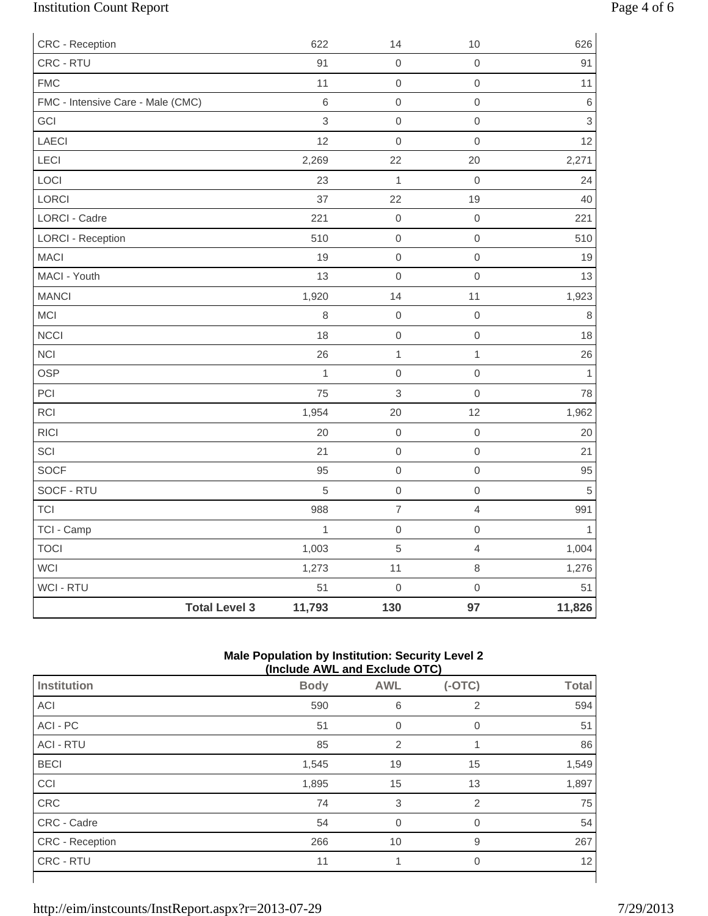# Institution Count Report Page 4 of 6

| CRC - Reception                   |                      | 622            | 14               | 10                  | 626            |
|-----------------------------------|----------------------|----------------|------------------|---------------------|----------------|
| CRC - RTU                         |                      | 91             | $\boldsymbol{0}$ | $\mathbf 0$         | 91             |
| <b>FMC</b>                        |                      | 11             | $\mbox{O}$       | $\mbox{O}$          | 11             |
| FMC - Intensive Care - Male (CMC) |                      | $\,6\,$        | $\mathbf 0$      | $\mbox{O}$          | $\,6\,$        |
| GCI                               |                      | 3              | $\mathbf 0$      | $\mathbf 0$         | $\mathfrak{S}$ |
| LAECI                             |                      | 12             | $\boldsymbol{0}$ | $\mathbf{0}$        | 12             |
| LECI                              |                      | 2,269          | 22               | 20                  | 2,271          |
| LOCI                              |                      | 23             | $\mathbf{1}$     | $\mathbf 0$         | 24             |
| LORCI                             |                      | 37             | 22               | 19                  | 40             |
| LORCI - Cadre                     |                      | 221            | $\boldsymbol{0}$ | $\mathbf 0$         | 221            |
| <b>LORCI - Reception</b>          |                      | 510            | $\mbox{O}$       | $\mathbf 0$         | 510            |
| <b>MACI</b>                       |                      | 19             | $\mathbf 0$      | $\mbox{O}$          | 19             |
| MACI - Youth                      |                      | 13             | $\mathbf 0$      | $\mathsf{O}\xspace$ | 13             |
| <b>MANCI</b>                      |                      | 1,920          | 14               | 11                  | 1,923          |
| MCI                               |                      | 8              | $\mathbf 0$      | $\mbox{O}$          | $\,8\,$        |
| <b>NCCI</b>                       |                      | 18             | $\mbox{O}$       | $\mbox{O}$          | 18             |
| <b>NCI</b>                        |                      | 26             | $\mathbf{1}$     | $\mathbf{1}$        | 26             |
| <b>OSP</b>                        |                      | $\overline{1}$ | $\mathbf 0$      | $\mathbf 0$         | $\mathbf{1}$   |
| PCI                               |                      | 75             | $\mathsf 3$      | $\mathbf 0$         | 78             |
| <b>RCI</b>                        |                      | 1,954          | 20               | 12                  | 1,962          |
| <b>RICI</b>                       |                      | 20             | $\mathbf 0$      | $\mathsf{O}\xspace$ | 20             |
| SCI                               |                      | 21             | $\mathbf 0$      | $\mbox{O}$          | 21             |
| SOCF                              |                      | 95             | $\boldsymbol{0}$ | $\mathbf 0$         | 95             |
| SOCF - RTU                        |                      | 5              | $\mbox{O}$       | $\mathbf 0$         | $\,$ 5 $\,$    |
| <b>TCI</b>                        |                      | 988            | $\overline{7}$   | $\overline{4}$      | 991            |
| TCI - Camp                        |                      | $\mathbf{1}$   | $\boldsymbol{0}$ | $\mathbf 0$         | 1              |
| <b>TOCI</b>                       |                      | 1,003          | $\sqrt{5}$       | $\overline{4}$      | 1,004          |
| WCI                               |                      | 1,273          | 11               | $\,8\,$             | 1,276          |
| WCI - RTU                         |                      | 51             | $\mathbf 0$      | $\mathsf{O}\xspace$ | 51             |
|                                   | <b>Total Level 3</b> | 11,793         | 130              | 97                  | 11,826         |

### **Male Population by Institution: Security Level 2 (Include AWL and Exclude OTC)**

|                        | (INClUDE AVE AND EXCIUDE UT U) |                |                |              |  |
|------------------------|--------------------------------|----------------|----------------|--------------|--|
| <b>Institution</b>     | <b>Body</b>                    | <b>AWL</b>     | $(-OTC)$       | <b>Total</b> |  |
| ACI                    | 590                            | 6              | 2              | 594          |  |
| ACI - PC               | 51                             | $\overline{0}$ | 0              | 51           |  |
| <b>ACI - RTU</b>       | 85                             | $\overline{2}$ |                | 86           |  |
| <b>BECI</b>            | 1,545                          | 19             | 15             | 1,549        |  |
| CCI                    | 1,895                          | 15             | 13             | 1,897        |  |
| <b>CRC</b>             | 74                             | 3              | 2              | 75           |  |
| CRC - Cadre            | 54                             | $\Omega$       | $\Omega$       | 54           |  |
| <b>CRC</b> - Reception | 266                            | 10             | 9              | 267          |  |
| CRC - RTU              | 11                             |                | $\overline{0}$ | 12           |  |
|                        |                                |                |                |              |  |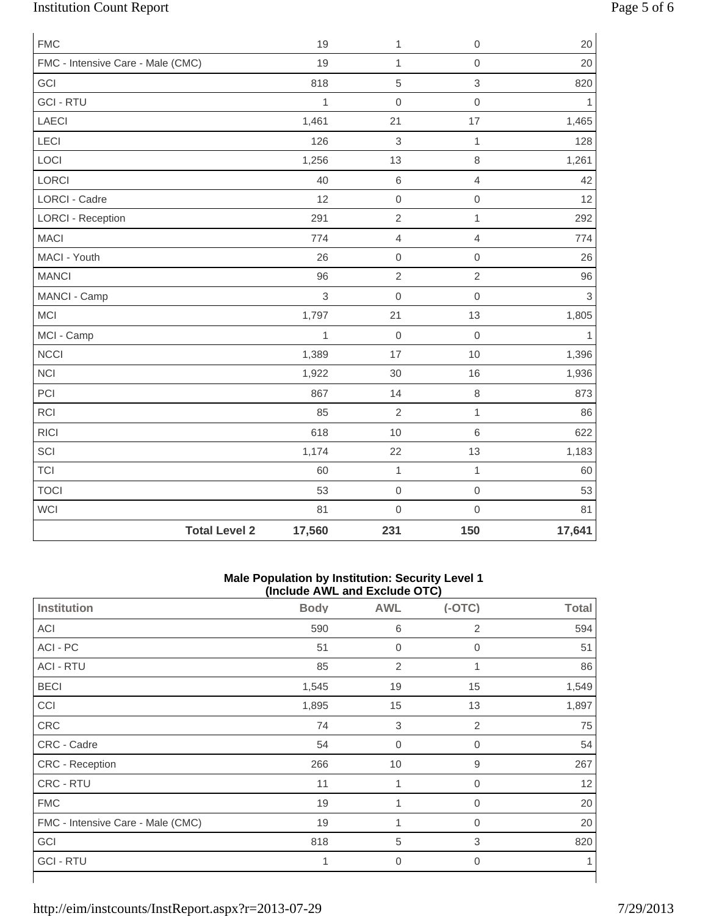# Institution Count Report Page 5 of 6

| <b>FMC</b>                        |                      | 19           | $\mathbf{1}$   | $\mathsf{O}\xspace$ | 20             |
|-----------------------------------|----------------------|--------------|----------------|---------------------|----------------|
| FMC - Intensive Care - Male (CMC) |                      | 19           | $\mathbf{1}$   | $\mathsf{O}\xspace$ | 20             |
| GCI                               |                      | 818          | $\sqrt{5}$     | $\mathsf 3$         | 820            |
| <b>GCI - RTU</b>                  |                      | $\mathbf{1}$ | $\mathbf 0$    | $\mathsf{O}\xspace$ | 1              |
| <b>LAECI</b>                      |                      | 1,461        | 21             | 17                  | 1,465          |
| LECI                              |                      | 126          | 3              | $\mathbf{1}$        | 128            |
| LOCI                              |                      | 1,256        | 13             | 8                   | 1,261          |
| LORCI                             |                      | 40           | $\,6\,$        | $\overline{4}$      | 42             |
| <b>LORCI - Cadre</b>              |                      | 12           | $\mathbf 0$    | $\mathsf{O}\xspace$ | 12             |
| <b>LORCI - Reception</b>          |                      | 291          | $\overline{2}$ | $\mathbf 1$         | 292            |
| <b>MACI</b>                       |                      | 774          | $\overline{4}$ | $\overline{4}$      | 774            |
| MACI - Youth                      |                      | 26           | $\mathbf 0$    | $\mathsf{O}\xspace$ | 26             |
| <b>MANCI</b>                      |                      | 96           | $\overline{2}$ | $\overline{2}$      | 96             |
| MANCI - Camp                      |                      | 3            | $\mathbf 0$    | $\overline{0}$      | $\mathfrak{S}$ |
| <b>MCI</b>                        |                      | 1,797        | 21             | 13                  | 1,805          |
| MCI - Camp                        |                      | $\mathbf{1}$ | $\mathbf 0$    | $\mathbf 0$         | $\mathbf{1}$   |
| <b>NCCI</b>                       |                      | 1,389        | 17             | $10$                | 1,396          |
| <b>NCI</b>                        |                      | 1,922        | 30             | 16                  | 1,936          |
| PCI                               |                      | 867          | 14             | 8                   | 873            |
| RCI                               |                      | 85           | $\overline{2}$ | $\mathbf{1}$        | 86             |
| <b>RICI</b>                       |                      | 618          | 10             | 6                   | 622            |
| SCI                               |                      | 1,174        | 22             | 13                  | 1,183          |
| <b>TCI</b>                        |                      | 60           | $\mathbf{1}$   | $\mathbf{1}$        | 60             |
| <b>TOCI</b>                       |                      | 53           | $\mathbf 0$    | $\mathbf 0$         | 53             |
| WCI                               |                      | 81           | $\mathbf 0$    | $\mathsf{O}\xspace$ | 81             |
|                                   | <b>Total Level 2</b> | 17,560       | 231            | 150                 | 17,641         |

### **Male Population by Institution: Security Level 1 (Include AWL and Exclude OTC)**

| $($ mclude $\pi$ ive and exclude $\sigma$ i o $\mu$ |             |                  |                |              |
|-----------------------------------------------------|-------------|------------------|----------------|--------------|
| <b>Institution</b>                                  | <b>Body</b> | <b>AWL</b>       | $(-OTC)$       | <b>Total</b> |
| ACI                                                 | 590         | $\,$ 6           | 2              | 594          |
| ACI - PC                                            | 51          | $\boldsymbol{0}$ | $\mathbf 0$    | 51           |
| <b>ACI - RTU</b>                                    | 85          | $\overline{2}$   | 1              | 86           |
| <b>BECI</b>                                         | 1,545       | 19               | 15             | 1,549        |
| CCI                                                 | 1,895       | 15               | 13             | 1,897        |
| CRC                                                 | 74          | $\sqrt{3}$       | 2              | 75           |
| CRC - Cadre                                         | 54          | $\boldsymbol{0}$ | 0              | 54           |
| CRC - Reception                                     | 266         | 10               | 9              | 267          |
| CRC - RTU                                           | 11          | 1                | 0              | 12           |
| <b>FMC</b>                                          | 19          | 1                | 0              | 20           |
| FMC - Intensive Care - Male (CMC)                   | 19          | 1                | 0              | 20           |
| GCI                                                 | 818         | 5                | 3              | 820          |
| <b>GCI-RTU</b>                                      | 1           | $\mathbf 0$      | $\overline{0}$ |              |
|                                                     |             |                  |                |              |